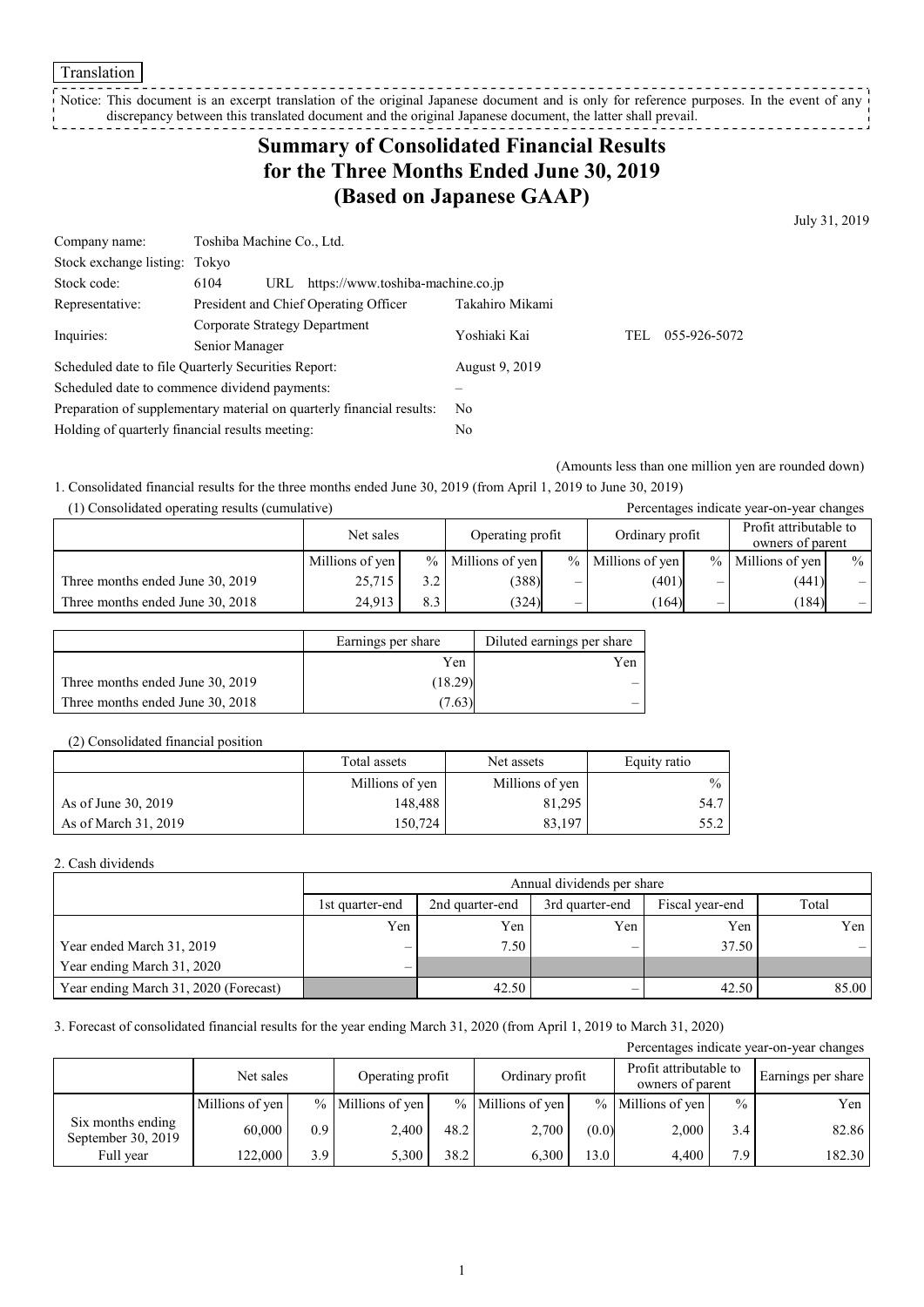Translation

Notice: This document is an excerpt translation of the original Japanese document and is only for reference purposes. In the event of any discrepancy between this translated document and the original Japanese document, the latter shall prevail. ------------

# **Summary of Consolidated Financial Results for the Three Months Ended June 30, 2019 (Based on Japanese GAAP)**

July 31, 2019

| Company name:                                                         | Toshiba Machine Co., Ltd.                                |              |     |              |  |  |
|-----------------------------------------------------------------------|----------------------------------------------------------|--------------|-----|--------------|--|--|
| Stock exchange listing: Tokyo                                         |                                                          |              |     |              |  |  |
| Stock code:                                                           | 6104<br>https://www.toshiba-machine.co.jp<br>URL         |              |     |              |  |  |
| Representative:                                                       | Takahiro Mikami<br>President and Chief Operating Officer |              |     |              |  |  |
| Inquiries:                                                            | Corporate Strategy Department                            | Yoshiaki Kai | TEL | 055-926-5072 |  |  |
|                                                                       | Senior Manager                                           |              |     |              |  |  |
| Scheduled date to file Quarterly Securities Report:                   | August 9, 2019                                           |              |     |              |  |  |
|                                                                       | Scheduled date to commence dividend payments:            |              |     |              |  |  |
| Preparation of supplementary material on quarterly financial results: | No.                                                      |              |     |              |  |  |
| Holding of quarterly financial results meeting:                       |                                                          | No           |     |              |  |  |

(Amounts less than one million yen are rounded down)

1. Consolidated financial results for the three months ended June 30, 2019 (from April 1, 2019 to June 30, 2019)

|  | (1) Consolidated operating results (cumulative) |  |
|--|-------------------------------------------------|--|
|--|-------------------------------------------------|--|

| (1) Consolidated operating results (cumulative) |                 |     |                     |   |                     |               | Percentages indicate year-on-year changes  |                   |
|-------------------------------------------------|-----------------|-----|---------------------|---|---------------------|---------------|--------------------------------------------|-------------------|
|                                                 | Net sales       |     | Operating profit    |   | Ordinary profit     |               | Profit attributable to<br>owners of parent |                   |
|                                                 | Millions of yen |     | $%$ Millions of yen |   | $%$ Millions of yen | $\frac{9}{6}$ | Millions of yen                            | $\frac{0}{0}$     |
| Three months ended June 30, 2019                | 25,715          | 3.2 | (388)               | – | (401)               | –             | (441)                                      | $\qquad \qquad =$ |
| Three months ended June 30, 2018                | 24.913          | 8.3 | (324)               |   | (164)               |               | (184)                                      |                   |

|                                  | Earnings per share | Diluted earnings per share |
|----------------------------------|--------------------|----------------------------|
|                                  | Yen                | Yen                        |
| Three months ended June 30, 2019 | (18.29)            |                            |
| Three months ended June 30, 2018 | 7.63)              |                            |

#### (2) Consolidated financial position

|                      | Total assets    | Net assets      | Equity ratio  |
|----------------------|-----------------|-----------------|---------------|
|                      | Millions of yen | Millions of yen | $\frac{0}{0}$ |
| As of June 30, 2019  | 148.488         | 81,295          | 54.7          |
| As of March 31, 2019 | 150,724         | 83.197          | 55.2          |

#### 2. Cash dividends

|                                       | Annual dividends per share      |                 |                 |                 |       |  |
|---------------------------------------|---------------------------------|-----------------|-----------------|-----------------|-------|--|
|                                       | 1st quarter-end                 | 2nd quarter-end | 3rd quarter-end | Fiscal year-end | Total |  |
|                                       | Yen                             | Yen             | Yen             | Yen             | Yen 1 |  |
| Year ended March 31, 2019             | $\overline{\phantom{m}}$        | 7.50            | —               | 37.50           |       |  |
| Year ending March 31, 2020            | $\hspace{0.1mm}-\hspace{0.1mm}$ |                 |                 |                 |       |  |
| Year ending March 31, 2020 (Forecast) |                                 | 42.50           | –               | 42.50           | 85.00 |  |

3. Forecast of consolidated financial results for the year ending March 31, 2020 (from April 1, 2019 to March 31, 2020)

| Percentages indicate year-on-year changes |                 |     |                     |      |                   |       |                     |               |                 |  |                                            |  |                    |
|-------------------------------------------|-----------------|-----|---------------------|------|-------------------|-------|---------------------|---------------|-----------------|--|--------------------------------------------|--|--------------------|
|                                           | Net sales       |     | Operating profit    |      |                   |       |                     |               | Ordinary profit |  | Profit attributable to<br>owners of parent |  | Earnings per share |
|                                           | Millions of yen |     | $%$ Millions of yen |      | % Millions of yen |       | $%$ Millions of yen | $\frac{0}{0}$ | Yen             |  |                                            |  |                    |
| Six months ending<br>September 30, 2019   | 60,000          | 0.9 | 2,400               | 48.2 | 2,700             | (0.0) | 2,000               | 3.4           | 82.86           |  |                                            |  |                    |
| Full year                                 | 122,000         | 3.9 | 5.300               | 38.2 | 6.300             | 13.0  | 4.400               | 7.9           | 182.30          |  |                                            |  |                    |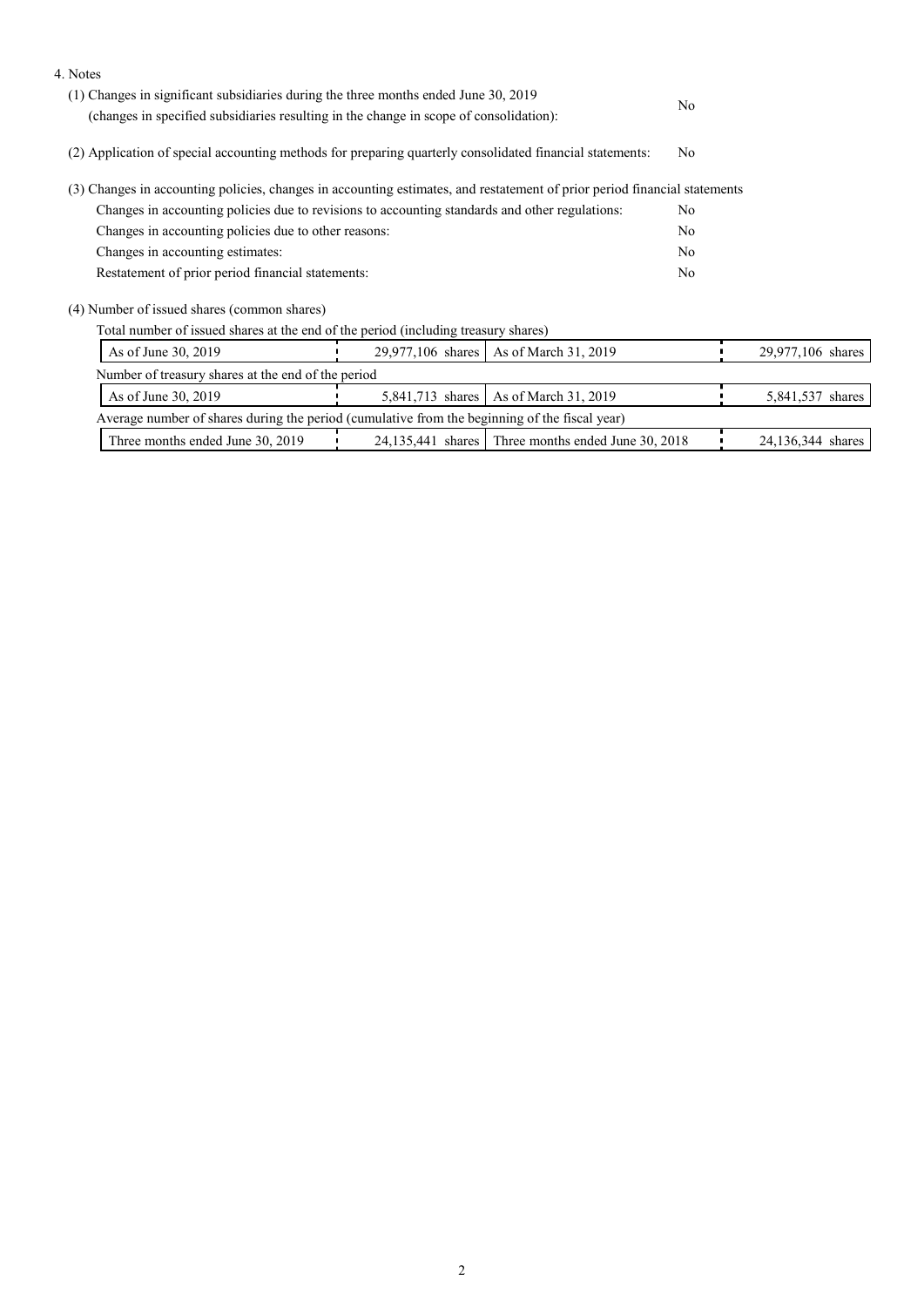| 4. Notes                                                                                                                  |                  |                                                    |                |                   |
|---------------------------------------------------------------------------------------------------------------------------|------------------|----------------------------------------------------|----------------|-------------------|
| (1) Changes in significant subsidiaries during the three months ended June 30, 2019                                       |                  |                                                    |                |                   |
| (changes in specified subsidiaries resulting in the change in scope of consolidation):                                    |                  |                                                    | No             |                   |
| (2) Application of special accounting methods for preparing quarterly consolidated financial statements:                  |                  |                                                    | No             |                   |
| (3) Changes in accounting policies, changes in accounting estimates, and restatement of prior period financial statements |                  |                                                    |                |                   |
| Changes in accounting policies due to revisions to accounting standards and other regulations:                            |                  |                                                    | N <sub>0</sub> |                   |
| Changes in accounting policies due to other reasons:                                                                      |                  |                                                    | No             |                   |
| Changes in accounting estimates:                                                                                          |                  |                                                    |                |                   |
| Restatement of prior period financial statements:                                                                         |                  |                                                    | No             |                   |
| (4) Number of issued shares (common shares)                                                                               |                  |                                                    |                |                   |
| Total number of issued shares at the end of the period (including treasury shares)                                        |                  |                                                    |                |                   |
| As of June 30, 2019                                                                                                       |                  | 29,977,106 shares   As of March 31, 2019           |                | 29,977,106 shares |
| Number of treasury shares at the end of the period                                                                        |                  |                                                    |                |                   |
| As of June 30, 2019                                                                                                       | 5,841,713 shares | As of March 31, 2019                               |                | 5,841,537 shares  |
| Average number of shares during the period (cumulative from the beginning of the fiscal year)                             |                  |                                                    |                |                   |
| Three months ended June 30, 2019                                                                                          |                  | 24,135,441 shares Three months ended June 30, 2018 |                | 24,136,344 shares |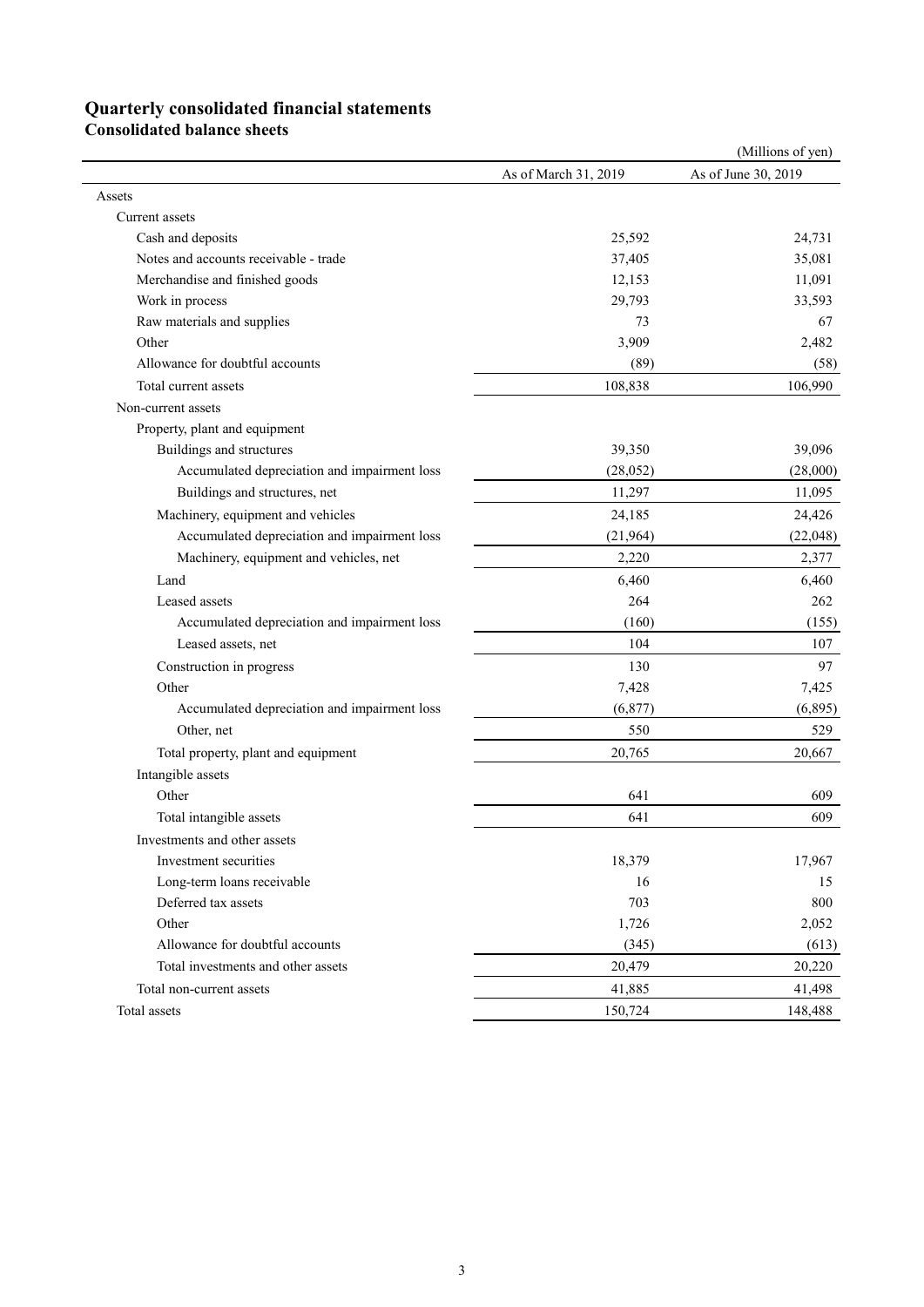## **Quarterly consolidated financial statements**

**Consolidated balance sheets** 

|                                              |                      | (Millions of yen)   |
|----------------------------------------------|----------------------|---------------------|
|                                              | As of March 31, 2019 | As of June 30, 2019 |
| Assets                                       |                      |                     |
| Current assets                               |                      |                     |
| Cash and deposits                            | 25,592               | 24,731              |
| Notes and accounts receivable - trade        | 37,405               | 35,081              |
| Merchandise and finished goods               | 12,153               | 11,091              |
| Work in process                              | 29,793               | 33,593              |
| Raw materials and supplies                   | 73                   | 67                  |
| Other                                        | 3,909                | 2,482               |
| Allowance for doubtful accounts              | (89)                 | (58)                |
| Total current assets                         | 108,838              | 106,990             |
| Non-current assets                           |                      |                     |
| Property, plant and equipment                |                      |                     |
| Buildings and structures                     | 39,350               | 39,096              |
| Accumulated depreciation and impairment loss | (28,052)             | (28,000)            |
| Buildings and structures, net                | 11,297               | 11,095              |
| Machinery, equipment and vehicles            | 24,185               | 24,426              |
| Accumulated depreciation and impairment loss | (21,964)             | (22, 048)           |
| Machinery, equipment and vehicles, net       | 2,220                | 2,377               |
| Land                                         | 6,460                | 6,460               |
| Leased assets                                | 264                  | 262                 |
| Accumulated depreciation and impairment loss | (160)                | (155)               |
| Leased assets, net                           | 104                  | 107                 |
| Construction in progress                     | 130                  | 97                  |
| Other                                        | 7,428                | 7,425               |
| Accumulated depreciation and impairment loss | (6,877)              | (6,895)             |
| Other, net                                   | 550                  | 529                 |
| Total property, plant and equipment          | 20,765               | 20,667              |
| Intangible assets                            |                      |                     |
| Other                                        | 641                  | 609                 |
| Total intangible assets                      | 641                  | 609                 |
| Investments and other assets                 |                      |                     |
| Investment securities                        | 18,379               | 17,967              |
| Long-term loans receivable                   | 16                   | 15                  |
| Deferred tax assets                          | 703                  | 800                 |
| Other                                        | 1,726                | 2,052               |
| Allowance for doubtful accounts              | (345)                | (613)               |
| Total investments and other assets           | 20,479               | 20,220              |
| Total non-current assets                     | 41,885               | 41,498              |
| Total assets                                 | 150,724              | 148,488             |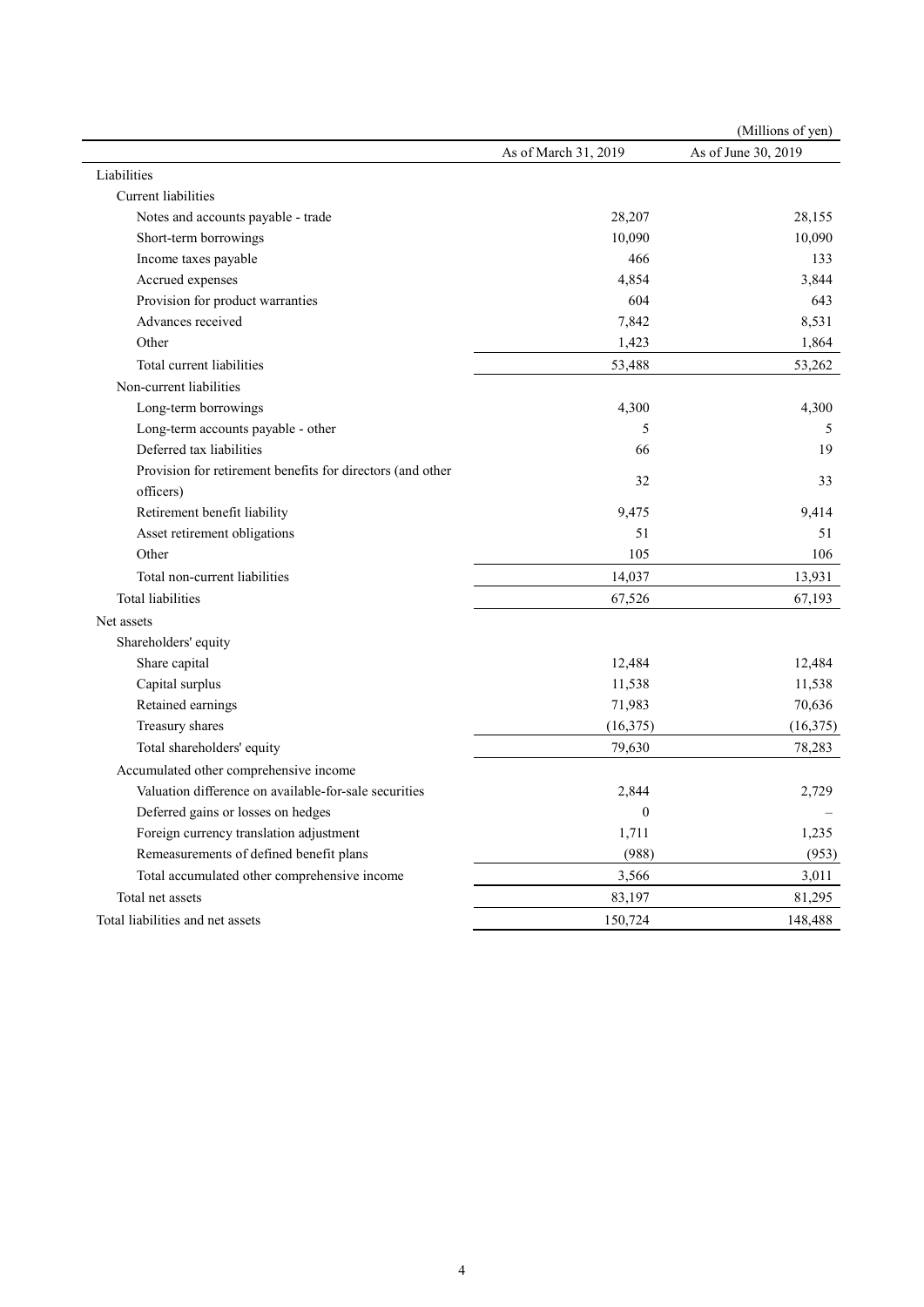| As of March 31, 2019<br>28,207<br>10,090<br>466<br>4,854<br>604<br>7,842 | As of June 30, 2019<br>28,155<br>10,090<br>133<br>3,844<br>643 |
|--------------------------------------------------------------------------|----------------------------------------------------------------|
|                                                                          |                                                                |
|                                                                          |                                                                |
|                                                                          |                                                                |
|                                                                          |                                                                |
|                                                                          |                                                                |
|                                                                          |                                                                |
|                                                                          |                                                                |
|                                                                          |                                                                |
|                                                                          | 8,531                                                          |
| 1,423                                                                    | 1,864                                                          |
| 53,488                                                                   | 53,262                                                         |
|                                                                          |                                                                |
| 4,300                                                                    | 4,300                                                          |
| 5                                                                        | 5                                                              |
| 66                                                                       | 19                                                             |
|                                                                          |                                                                |
|                                                                          | 33                                                             |
| 9,475                                                                    | 9,414                                                          |
| 51                                                                       | 51                                                             |
| 105                                                                      | 106                                                            |
| 14,037                                                                   | 13,931                                                         |
| 67,526                                                                   | 67,193                                                         |
|                                                                          |                                                                |
|                                                                          |                                                                |
| 12,484                                                                   | 12,484                                                         |
| 11,538                                                                   | 11,538                                                         |
| 71,983                                                                   | 70,636                                                         |
| (16, 375)                                                                | (16, 375)                                                      |
| 79,630                                                                   | 78,283                                                         |
|                                                                          |                                                                |
| 2,844                                                                    | 2,729                                                          |
| $\boldsymbol{0}$                                                         |                                                                |
| 1,711                                                                    | 1,235                                                          |
| (988)                                                                    | (953)                                                          |
| 3,566                                                                    | 3,011                                                          |
| 83,197                                                                   | 81,295                                                         |
| 150,724                                                                  | 148,488                                                        |
|                                                                          | 32                                                             |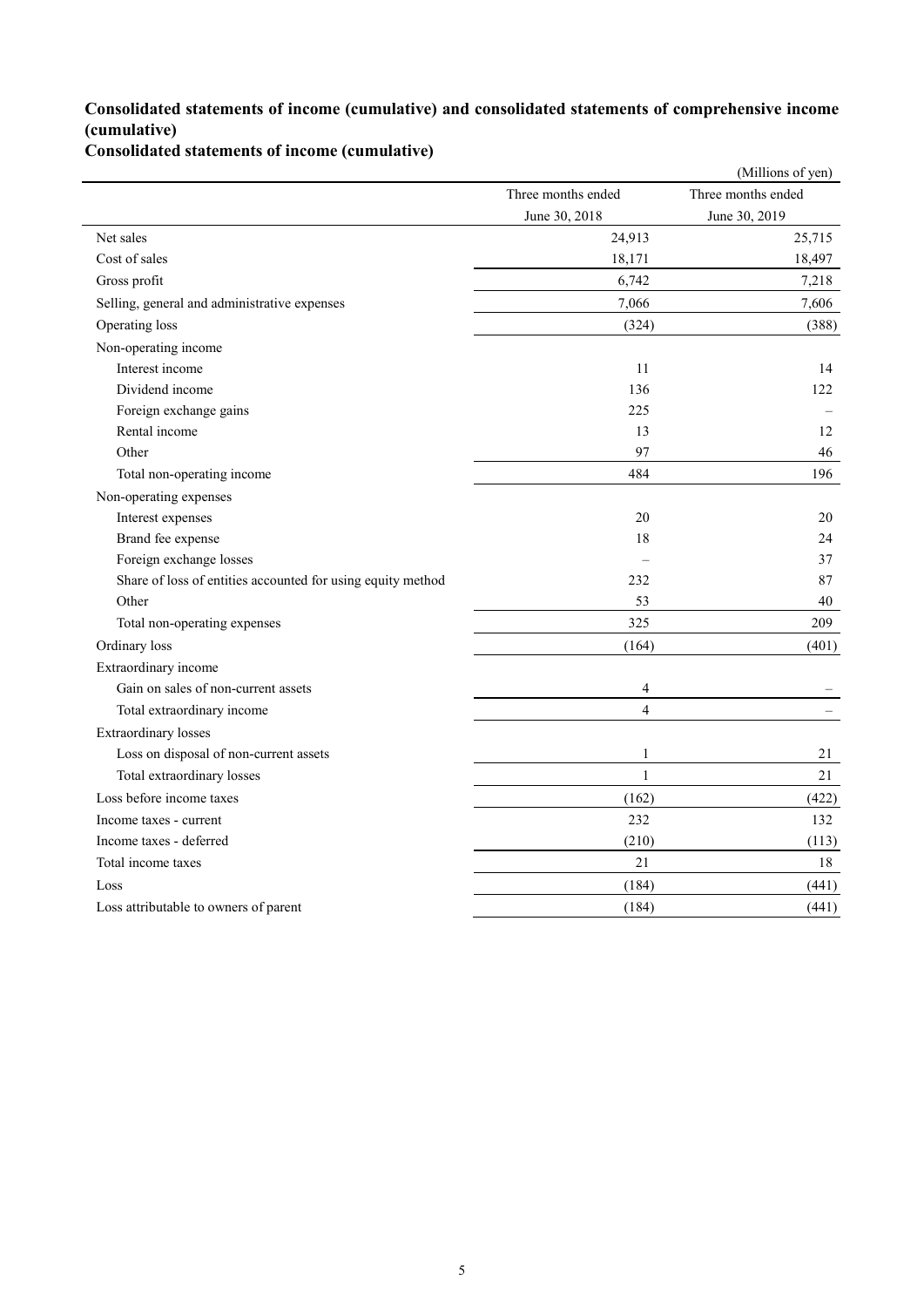### **Consolidated statements of income (cumulative) and consolidated statements of comprehensive income (cumulative)**

**Consolidated statements of income (cumulative)**

|                                                             |                    | (Millions of yen)  |
|-------------------------------------------------------------|--------------------|--------------------|
|                                                             | Three months ended | Three months ended |
|                                                             | June 30, 2018      | June 30, 2019      |
| Net sales                                                   | 24,913             | 25,715             |
| Cost of sales                                               | 18,171             | 18,497             |
| Gross profit                                                | 6,742              | 7,218              |
| Selling, general and administrative expenses                | 7,066              | 7,606              |
| Operating loss                                              | (324)              | (388)              |
| Non-operating income                                        |                    |                    |
| Interest income                                             | 11                 | 14                 |
| Dividend income                                             | 136                | 122                |
| Foreign exchange gains                                      | 225                |                    |
| Rental income                                               | 13                 | 12                 |
| Other                                                       | 97                 | 46                 |
| Total non-operating income                                  | 484                | 196                |
| Non-operating expenses                                      |                    |                    |
| Interest expenses                                           | 20                 | 20                 |
| Brand fee expense                                           | 18                 | 24                 |
| Foreign exchange losses                                     |                    | 37                 |
| Share of loss of entities accounted for using equity method | 232                | 87                 |
| Other                                                       | 53                 | 40                 |
| Total non-operating expenses                                | 325                | 209                |
| Ordinary loss                                               | (164)              | (401)              |
| Extraordinary income                                        |                    |                    |
| Gain on sales of non-current assets                         | $\overline{4}$     |                    |
| Total extraordinary income                                  | $\overline{4}$     |                    |
| <b>Extraordinary losses</b>                                 |                    |                    |
| Loss on disposal of non-current assets                      | $\mathbf{1}$       | 21                 |
| Total extraordinary losses                                  | $\mathbf{1}$       | 21                 |
| Loss before income taxes                                    | (162)              | (422)              |
| Income taxes - current                                      | 232                | 132                |
| Income taxes - deferred                                     | (210)              | (113)              |
| Total income taxes                                          | 21                 | 18                 |
| Loss                                                        | (184)              | (441)              |
| Loss attributable to owners of parent                       | (184)              | (441)              |